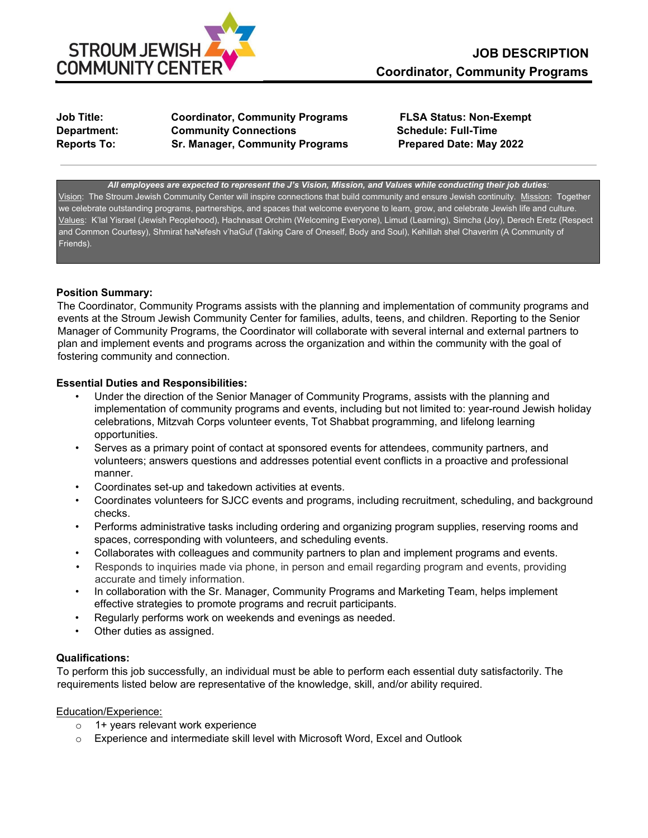

**Job Title: Coordinator, Community Programs FLSA Status: Non-Exempt Department: Community Connections Community Connections Community Connections Community Connections Reports To: Sr. Manager, Community Programs Prepared Date: May 2022** 

*All employees are expected to represent the J's Vision, Mission, and Values while conducting their job duties:*  Vision: The Stroum Jewish Community Center will inspire connections that build community and ensure Jewish continuity. Mission: Together we celebrate outstanding programs, partnerships, and spaces that welcome everyone to learn, grow, and celebrate Jewish life and culture. Values: K'lal Yisrael (Jewish Peoplehood), Hachnasat Orchim (Welcoming Everyone), Limud (Learning), Simcha (Joy), Derech Eretz (Respect and Common Courtesy), Shmirat haNefesh v'haGuf (Taking Care of Oneself, Body and Soul), Kehillah shel Chaverim (A Community of Friends).

## **Position Summary:**

The Coordinator, Community Programs assists with the planning and implementation of community programs and events at the Stroum Jewish Community Center for families, adults, teens, and children. Reporting to the Senior Manager of Community Programs, the Coordinator will collaborate with several internal and external partners to plan and implement events and programs across the organization and within the community with the goal of fostering community and connection.

## **Essential Duties and Responsibilities:**

- Under the direction of the Senior Manager of Community Programs, assists with the planning and implementation of community programs and events, including but not limited to: year-round Jewish holiday celebrations, Mitzvah Corps volunteer events, Tot Shabbat programming, and lifelong learning opportunities.
- Serves as a primary point of contact at sponsored events for attendees, community partners, and volunteers; answers questions and addresses potential event conflicts in a proactive and professional manner.
- Coordinates set-up and takedown activities at events.
- Coordinates volunteers for SJCC events and programs, including recruitment, scheduling, and background checks.
- Performs administrative tasks including ordering and organizing program supplies, reserving rooms and spaces, corresponding with volunteers, and scheduling events.
- Collaborates with colleagues and community partners to plan and implement programs and events.
- Responds to inquiries made via phone, in person and email regarding program and events, providing accurate and timely information.
- In collaboration with the Sr. Manager, Community Programs and Marketing Team, helps implement effective strategies to promote programs and recruit participants.
- Regularly performs work on weekends and evenings as needed.
- Other duties as assigned.

# **Qualifications:**

To perform this job successfully, an individual must be able to perform each essential duty satisfactorily. The requirements listed below are representative of the knowledge, skill, and/or ability required.

## Education/Experience:

- o 1+ years relevant work experience
- o Experience and intermediate skill level with Microsoft Word, Excel and Outlook